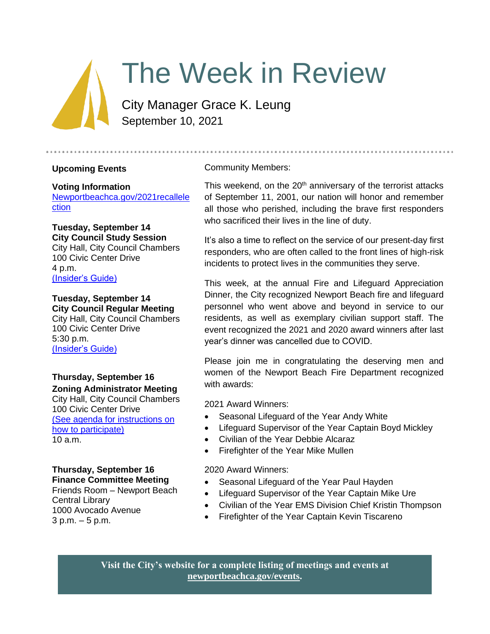

# The Week in Review

City Manager Grace K. Leung September 10, 2021

## **Upcoming Events**

#### **Voting Information**

[Newportbeachca.gov/2021recallele](https://newportbeachca.gov/government/departments/city-clerk/2021-gubernatorial-recall-election) [ction](https://newportbeachca.gov/government/departments/city-clerk/2021-gubernatorial-recall-election)

## **Tuesday, September 14 City Council Study Session**

City Hall, City Council Chambers 100 Civic Center Drive 4 p.m. [\(Insider's Guide\)](https://newportbeachca.gov/government/departments/city-manager/the-week-in-review-20410)

# **Tuesday, September 14 City Council Regular Meeting**

City Hall, City Council Chambers 100 Civic Center Drive 5:30 p.m. [\(Insider's Guide\)](https://newportbeachca.gov/government/departments/city-manager/the-week-in-review-20410)

# **Thursday, September 16 Zoning Administrator Meeting**

City Hall, City Council Chambers 100 Civic Center Drive [\(See agenda for instructions on](https://www.newportbeachca.gov/government/departments/community-development/planning-division/zoning-administrator)  [how to participate\)](https://www.newportbeachca.gov/government/departments/community-development/planning-division/zoning-administrator) 10 a.m.

# **Thursday, September 16 Finance Committee Meeting**

Friends Room – Newport Beach Central Library 1000 Avocado Avenue 3 p.m. – 5 p.m.

# Community Members:

This weekend, on the  $20<sup>th</sup>$  anniversary of the terrorist attacks of September 11, 2001, our nation will honor and remember all those who perished, including the brave first responders who sacrificed their lives in the line of duty.

It's also a time to reflect on the service of our present-day first responders, who are often called to the front lines of high-risk incidents to protect lives in the communities they serve.

This week, at the annual Fire and Lifeguard Appreciation Dinner, the City recognized Newport Beach fire and lifeguard personnel who went above and beyond in service to our residents, as well as exemplary civilian support staff. The event recognized the 2021 and 2020 award winners after last year's dinner was cancelled due to COVID.

Please join me in congratulating the deserving men and women of the Newport Beach Fire Department recognized with awards:

2021 Award Winners:

- Seasonal Lifeguard of the Year Andy White
- Lifeguard Supervisor of the Year Captain Boyd Mickley
- Civilian of the Year Debbie Alcaraz
- Firefighter of the Year Mike Mullen

## 2020 Award Winners:

- Seasonal Lifeguard of the Year Paul Hayden
- Lifeguard Supervisor of the Year Captain Mike Ure
- Civilian of the Year EMS Division Chief Kristin Thompson
- Firefighter of the Year Captain Kevin Tiscareno

**Visit the City's website for a complete listing of meetings and events at [newportbeachca.gov/events.](https://www.newportbeachca.gov/government/data-hub/city-calendar)**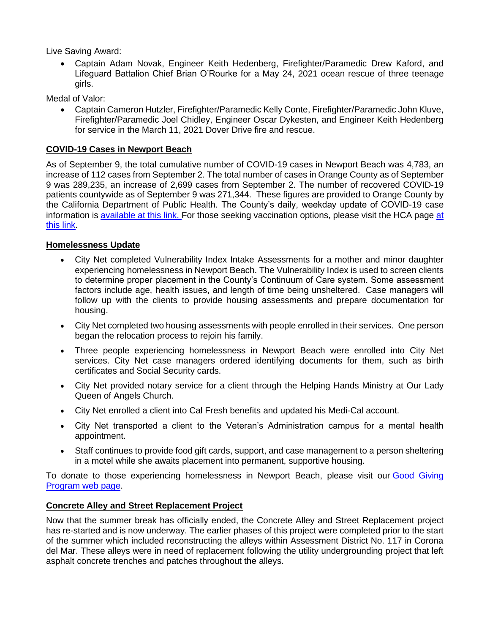Live Saving Award:

• Captain Adam Novak, Engineer Keith Hedenberg, Firefighter/Paramedic Drew Kaford, and Lifeguard Battalion Chief Brian O'Rourke for a May 24, 2021 ocean rescue of three teenage girls.

Medal of Valor:

• Captain Cameron Hutzler, Firefighter/Paramedic Kelly Conte, Firefighter/Paramedic John Kluve, Firefighter/Paramedic Joel Chidley, Engineer Oscar Dykesten, and Engineer Keith Hedenberg for service in the March 11, 2021 Dover Drive fire and rescue.

#### **COVID-19 Cases in Newport Beach**

As of September 9, the total cumulative number of COVID-19 cases in Newport Beach was 4,783, an increase of 112 cases from September 2. The total number of cases in Orange County as of September 9 was 289,235, an increase of 2,699 cases from September 2. The number of recovered COVID-19 patients countywide as of September 9 was 271,344. These figures are provided to Orange County by the California Department of Public Health. The County's daily, weekday update of COVID-19 case information is [available at this link.](https://ochca.maps.arcgis.com/apps/dashboards/cc4859c8c522496b9f21c451de2fedae) For those seeking vaccination options, please visit the HCA page [at](https://occovid19.ochealthinfo.com/covid-19-vaccine-distribution-channels)  [this link.](https://occovid19.ochealthinfo.com/covid-19-vaccine-distribution-channels)

#### **Homelessness Update**

- City Net completed Vulnerability Index Intake Assessments for a mother and minor daughter experiencing homelessness in Newport Beach. The Vulnerability Index is used to screen clients to determine proper placement in the County's Continuum of Care system. Some assessment factors include age, health issues, and length of time being unsheltered. Case managers will follow up with the clients to provide housing assessments and prepare documentation for housing.
- City Net completed two housing assessments with people enrolled in their services. One person began the relocation process to rejoin his family.
- Three people experiencing homelessness in Newport Beach were enrolled into City Net services. City Net case managers ordered identifying documents for them, such as birth certificates and Social Security cards.
- City Net provided notary service for a client through the Helping Hands Ministry at Our Lady Queen of Angels Church.
- City Net enrolled a client into Cal Fresh benefits and updated his Medi-Cal account.
- City Net transported a client to the Veteran's Administration campus for a mental health appointment.
- Staff continues to provide food gift cards, support, and case management to a person sheltering in a motel while she awaits placement into permanent, supportive housing.

To donate to those experiencing homelessness in Newport Beach, please visit our Good Giving [Program web page.](https://newportbeachca.gov/trending/community-issues/homelessness/how-you-can-help)

#### **Concrete Alley and Street Replacement Project**

Now that the summer break has officially ended, the Concrete Alley and Street Replacement project has re-started and is now underway. The earlier phases of this project were completed prior to the start of the summer which included reconstructing the alleys within Assessment District No. 117 in Corona del Mar. These alleys were in need of replacement following the utility undergrounding project that left asphalt concrete trenches and patches throughout the alleys.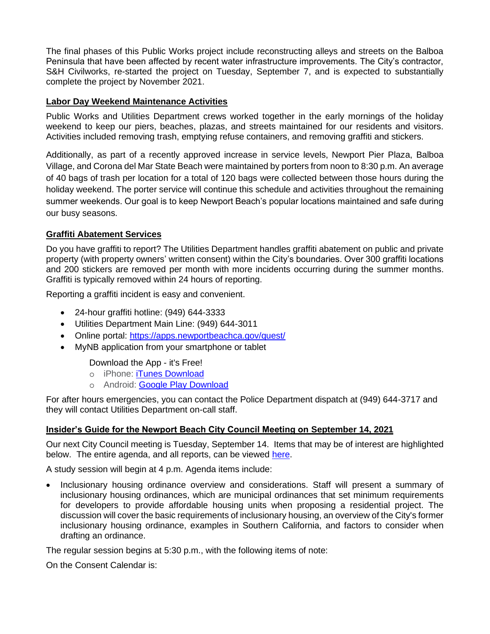The final phases of this Public Works project include reconstructing alleys and streets on the Balboa Peninsula that have been affected by recent water infrastructure improvements. The City's contractor, S&H Civilworks, re-started the project on Tuesday, September 7, and is expected to substantially complete the project by November 2021.

#### **Labor Day Weekend Maintenance Activities**

Public Works and Utilities Department crews worked together in the early mornings of the holiday weekend to keep our piers, beaches, plazas, and streets maintained for our residents and visitors. Activities included removing trash, emptying refuse containers, and removing graffiti and stickers.

Additionally, as part of a recently approved increase in service levels, Newport Pier Plaza, Balboa Village, and Corona del Mar State Beach were maintained by porters from noon to 8:30 p.m. An average of 40 bags of trash per location for a total of 120 bags were collected between those hours during the holiday weekend. The porter service will continue this schedule and activities throughout the remaining summer weekends. Our goal is to keep Newport Beach's popular locations maintained and safe during our busy seasons.

#### **Graffiti Abatement Services**

Do you have graffiti to report? The Utilities Department handles graffiti abatement on public and private property (with property owners' written consent) within the City's boundaries. Over 300 graffiti locations and 200 stickers are removed per month with more incidents occurring during the summer months. Graffiti is typically removed within 24 hours of reporting.

Reporting a graffiti incident is easy and convenient.

- 24-hour graffiti hotline: (949) 644-3333
- Utilities Department Main Line: (949) 644-3011
- Online portal:<https://apps.newportbeachca.gov/quest/>
- MyNB application from your smartphone or tablet

Download the App - it's Free!

- o iPhone: [iTunes Download](https://itunes.apple.com/us/app/mynb/id613169472?mt=8)
- o Android: [Google Play Download](https://play.google.com/store/apps/details?id=com.civicapps.newport&hl=en)

For after hours emergencies, you can contact the Police Department dispatch at (949) 644-3717 and they will contact Utilities Department on-call staff.

#### **Insider's Guide for the Newport Beach City Council Meeting on September 14, 2021**

Our next City Council meeting is Tuesday, September 14. Items that may be of interest are highlighted below. The entire agenda, and all reports, can be viewed [here.](https://newportbeachca.gov/Home/Components/Calendar/Event/64219/72)

A study session will begin at 4 p.m. Agenda items include:

• Inclusionary housing ordinance overview and considerations. Staff will present a summary of inclusionary housing ordinances, which are municipal ordinances that set minimum requirements for developers to provide affordable housing units when proposing a residential project. The discussion will cover the basic requirements of inclusionary housing, an overview of the City's former inclusionary housing ordinance, examples in Southern California, and factors to consider when drafting an ordinance.

The regular session begins at 5:30 p.m., with the following items of note:

On the Consent Calendar is: